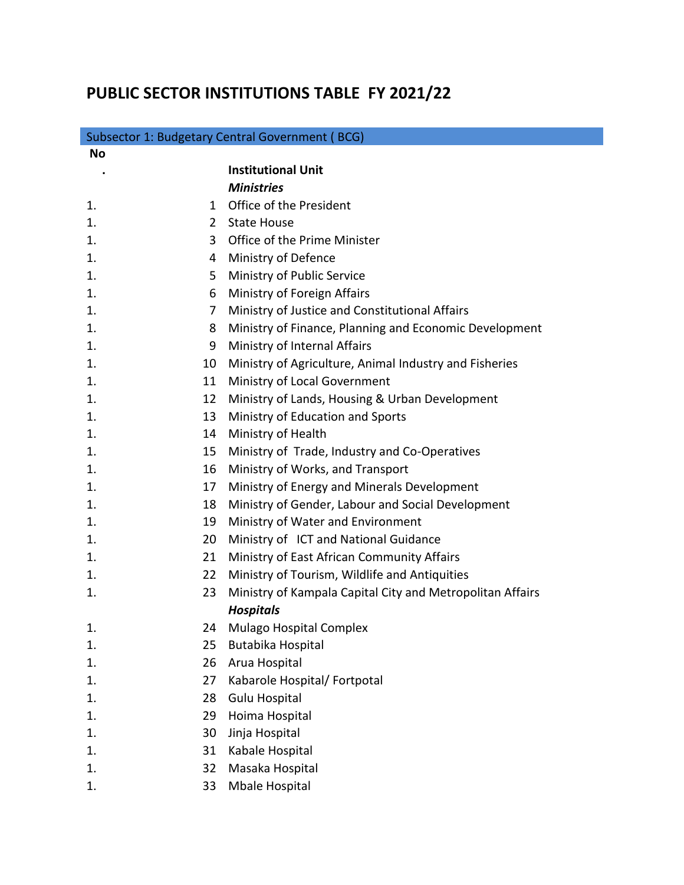## **PUBLIC SECTOR INSTITUTIONS TABLE FY 2021/22**

| Subsector 1: Budgetary Central Government (BCG) |                |                                                           |  |
|-------------------------------------------------|----------------|-----------------------------------------------------------|--|
| <b>No</b>                                       |                |                                                           |  |
|                                                 |                | <b>Institutional Unit</b>                                 |  |
|                                                 |                | <b>Ministries</b>                                         |  |
| 1.                                              | 1              | Office of the President                                   |  |
| 1.                                              | $\overline{2}$ | <b>State House</b>                                        |  |
| 1.                                              | 3              | Office of the Prime Minister                              |  |
| 1.                                              | 4              | Ministry of Defence                                       |  |
| 1.                                              | 5              | Ministry of Public Service                                |  |
| 1.                                              | 6              | Ministry of Foreign Affairs                               |  |
| 1.                                              | 7              | Ministry of Justice and Constitutional Affairs            |  |
| 1.                                              | 8              | Ministry of Finance, Planning and Economic Development    |  |
| 1.                                              | 9              | Ministry of Internal Affairs                              |  |
| 1.                                              | 10             | Ministry of Agriculture, Animal Industry and Fisheries    |  |
| 1.                                              | 11             | Ministry of Local Government                              |  |
| 1.                                              | 12             | Ministry of Lands, Housing & Urban Development            |  |
| 1.                                              | 13             | Ministry of Education and Sports                          |  |
| 1.                                              | 14             | Ministry of Health                                        |  |
| 1.                                              | 15             | Ministry of Trade, Industry and Co-Operatives             |  |
| 1.                                              | 16             | Ministry of Works, and Transport                          |  |
| 1.                                              | 17             | Ministry of Energy and Minerals Development               |  |
| 1.                                              | 18             | Ministry of Gender, Labour and Social Development         |  |
| 1.                                              | 19             | Ministry of Water and Environment                         |  |
| 1.                                              | 20             | Ministry of ICT and National Guidance                     |  |
| 1.                                              | 21             | Ministry of East African Community Affairs                |  |
| 1.                                              | 22             | Ministry of Tourism, Wildlife and Antiquities             |  |
| 1.                                              | 23             | Ministry of Kampala Capital City and Metropolitan Affairs |  |
|                                                 |                | <b>Hospitals</b>                                          |  |
| $\mathbf 1$                                     | 24             | Mulago Hospital Complex                                   |  |
| 1.                                              | 25             | Butabika Hospital                                         |  |
| 1.                                              | 26             | Arua Hospital                                             |  |
| 1.                                              | 27             | Kabarole Hospital/ Fortpotal                              |  |
| 1.                                              | 28             | <b>Gulu Hospital</b>                                      |  |
| 1.                                              | 29             | Hoima Hospital                                            |  |
| 1.                                              | 30             | Jinja Hospital                                            |  |
| 1.                                              | 31             | Kabale Hospital                                           |  |
| 1.                                              | 32             | Masaka Hospital                                           |  |
| 1.                                              | 33             | Mbale Hospital                                            |  |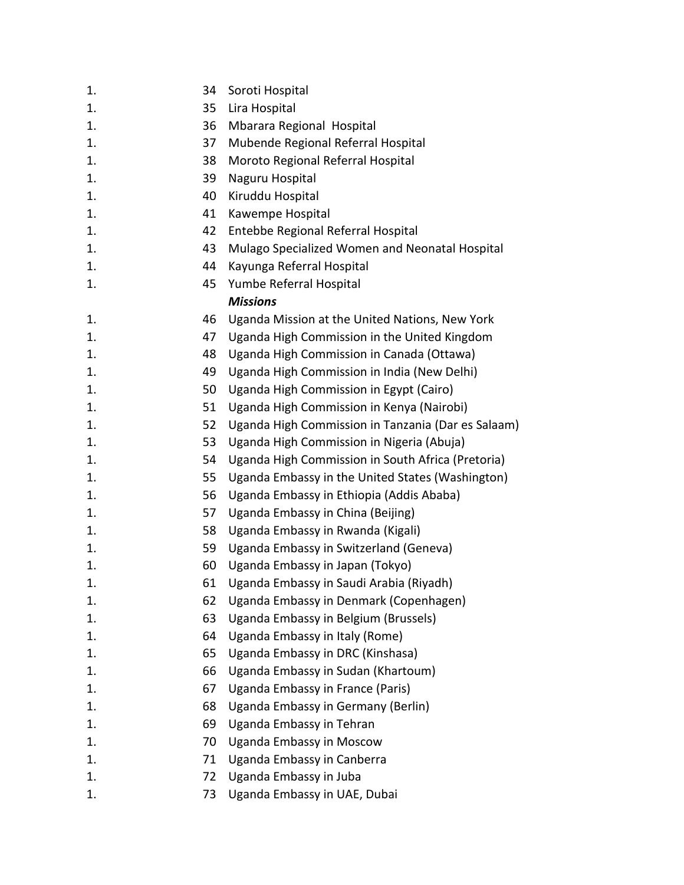| 1. | 34 | Soroti Hospital                                    |
|----|----|----------------------------------------------------|
| 1. | 35 | Lira Hospital                                      |
| 1. | 36 | Mbarara Regional Hospital                          |
| 1. | 37 | Mubende Regional Referral Hospital                 |
| 1. | 38 | Moroto Regional Referral Hospital                  |
| 1. | 39 | Naguru Hospital                                    |
| 1. | 40 | Kiruddu Hospital                                   |
| 1. | 41 | Kawempe Hospital                                   |
| 1. | 42 | Entebbe Regional Referral Hospital                 |
| 1. | 43 | Mulago Specialized Women and Neonatal Hospital     |
| 1. | 44 | Kayunga Referral Hospital                          |
| 1. | 45 | Yumbe Referral Hospital                            |
|    |    | <b>Missions</b>                                    |
| 1. | 46 | Uganda Mission at the United Nations, New York     |
| 1. | 47 | Uganda High Commission in the United Kingdom       |
| 1. | 48 | Uganda High Commission in Canada (Ottawa)          |
| 1. | 49 | Uganda High Commission in India (New Delhi)        |
| 1. | 50 | Uganda High Commission in Egypt (Cairo)            |
| 1. | 51 | Uganda High Commission in Kenya (Nairobi)          |
| 1. | 52 | Uganda High Commission in Tanzania (Dar es Salaam) |
| 1. | 53 | Uganda High Commission in Nigeria (Abuja)          |
| 1. | 54 | Uganda High Commission in South Africa (Pretoria)  |
| 1. | 55 | Uganda Embassy in the United States (Washington)   |
| 1. | 56 | Uganda Embassy in Ethiopia (Addis Ababa)           |
| 1. | 57 | Uganda Embassy in China (Beijing)                  |
| 1. | 58 | Uganda Embassy in Rwanda (Kigali)                  |
| 1. | 59 | Uganda Embassy in Switzerland (Geneva)             |
| 1. | 60 | Uganda Embassy in Japan (Tokyo)                    |
| 1. | 61 | Uganda Embassy in Saudi Arabia (Riyadh)            |
| 1. | 62 | Uganda Embassy in Denmark (Copenhagen)             |
| 1. | 63 | Uganda Embassy in Belgium (Brussels)               |
| 1. | 64 | Uganda Embassy in Italy (Rome)                     |
| 1. | 65 | Uganda Embassy in DRC (Kinshasa)                   |
| 1. | 66 | Uganda Embassy in Sudan (Khartoum)                 |
| 1. | 67 | Uganda Embassy in France (Paris)                   |
| 1. | 68 | Uganda Embassy in Germany (Berlin)                 |
| 1. | 69 | Uganda Embassy in Tehran                           |
| 1. | 70 | Uganda Embassy in Moscow                           |
| 1. | 71 | Uganda Embassy in Canberra                         |
| 1. | 72 | Uganda Embassy in Juba                             |
| 1. | 73 | Uganda Embassy in UAE, Dubai                       |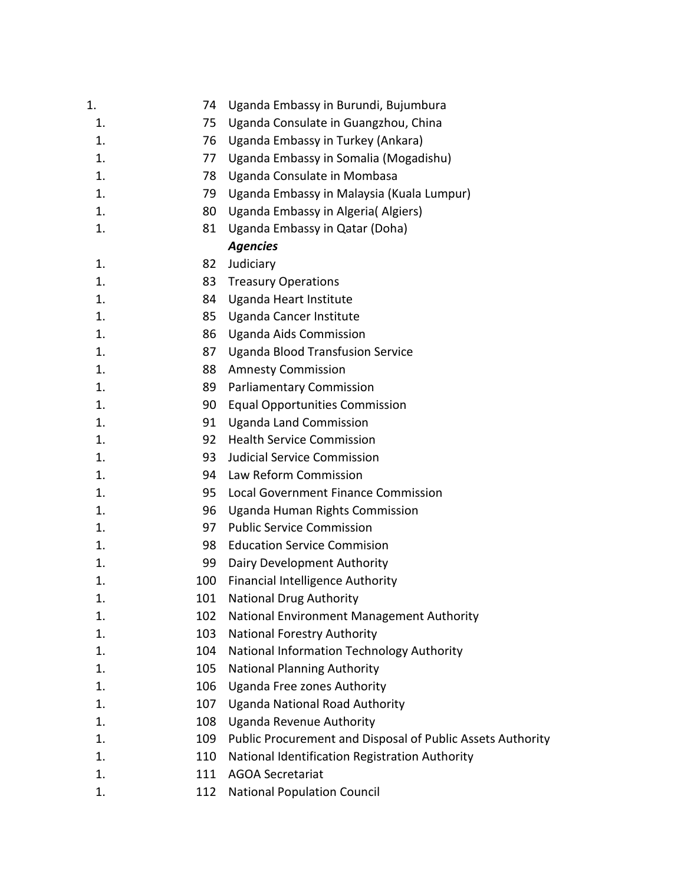| 1. | 74  | Uganda Embassy in Burundi, Bujumbura                       |
|----|-----|------------------------------------------------------------|
| 1. | 75  | Uganda Consulate in Guangzhou, China                       |
| 1. | 76  | Uganda Embassy in Turkey (Ankara)                          |
| 1. | 77  | Uganda Embassy in Somalia (Mogadishu)                      |
| 1. | 78  | Uganda Consulate in Mombasa                                |
| 1. | 79  | Uganda Embassy in Malaysia (Kuala Lumpur)                  |
| 1. | 80  | Uganda Embassy in Algeria (Algiers)                        |
| 1. | 81  | Uganda Embassy in Qatar (Doha)                             |
|    |     | <b>Agencies</b>                                            |
| 1. | 82  | Judiciary                                                  |
| 1. | 83  | <b>Treasury Operations</b>                                 |
| 1. | 84  | Uganda Heart Institute                                     |
| 1. | 85  | Uganda Cancer Institute                                    |
| 1. | 86  | <b>Uganda Aids Commission</b>                              |
| 1. | 87  | <b>Uganda Blood Transfusion Service</b>                    |
| 1. | 88  | <b>Amnesty Commission</b>                                  |
| 1. | 89  | <b>Parliamentary Commission</b>                            |
| 1. | 90  | <b>Equal Opportunities Commission</b>                      |
| 1. | 91  | <b>Uganda Land Commission</b>                              |
| 1. | 92  | <b>Health Service Commission</b>                           |
| 1. | 93  | Judicial Service Commission                                |
| 1. | 94  | Law Reform Commission                                      |
| 1. | 95  | Local Government Finance Commission                        |
| 1. | 96  | Uganda Human Rights Commission                             |
| 1. | 97  | <b>Public Service Commission</b>                           |
| 1. | 98  | <b>Education Service Commision</b>                         |
| 1. | 99  | Dairy Development Authority                                |
| 1. | 100 | <b>Financial Intelligence Authority</b>                    |
| 1. | 101 | <b>National Drug Authority</b>                             |
| 1. | 102 | National Environment Management Authority                  |
| 1. | 103 | <b>National Forestry Authority</b>                         |
| 1. | 104 | National Information Technology Authority                  |
| 1. | 105 | <b>National Planning Authority</b>                         |
| 1. | 106 | Uganda Free zones Authority                                |
| 1. | 107 | <b>Uganda National Road Authority</b>                      |
| 1. | 108 | Uganda Revenue Authority                                   |
| 1. | 109 | Public Procurement and Disposal of Public Assets Authority |
| 1. | 110 | National Identification Registration Authority             |
| 1. | 111 | <b>AGOA Secretariat</b>                                    |
| 1. | 112 | <b>National Population Council</b>                         |
|    |     |                                                            |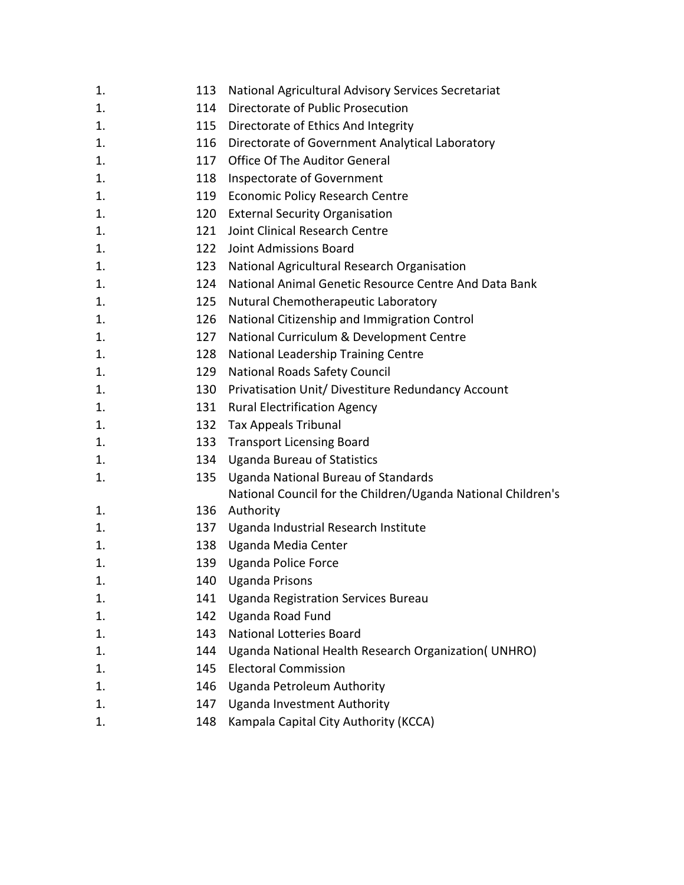| 1. | 113 | National Agricultural Advisory Services Secretariat          |
|----|-----|--------------------------------------------------------------|
| 1. | 114 | Directorate of Public Prosecution                            |
| 1. | 115 | Directorate of Ethics And Integrity                          |
| 1. | 116 | Directorate of Government Analytical Laboratory              |
| 1. | 117 | <b>Office Of The Auditor General</b>                         |
| 1. | 118 | Inspectorate of Government                                   |
| 1. | 119 | <b>Economic Policy Research Centre</b>                       |
| 1. | 120 | <b>External Security Organisation</b>                        |
| 1. | 121 | Joint Clinical Research Centre                               |
| 1. | 122 | Joint Admissions Board                                       |
| 1. | 123 | National Agricultural Research Organisation                  |
| 1. | 124 | National Animal Genetic Resource Centre And Data Bank        |
| 1. | 125 | Nutural Chemotherapeutic Laboratory                          |
| 1. | 126 | National Citizenship and Immigration Control                 |
| 1. | 127 | National Curriculum & Development Centre                     |
| 1. | 128 | National Leadership Training Centre                          |
| 1. | 129 | <b>National Roads Safety Council</b>                         |
| 1. | 130 | Privatisation Unit/ Divestiture Redundancy Account           |
| 1. | 131 | <b>Rural Electrification Agency</b>                          |
| 1. | 132 | Tax Appeals Tribunal                                         |
| 1. | 133 | <b>Transport Licensing Board</b>                             |
| 1. | 134 | <b>Uganda Bureau of Statistics</b>                           |
| 1. | 135 | <b>Uganda National Bureau of Standards</b>                   |
|    |     | National Council for the Children/Uganda National Children's |
| 1. | 136 | Authority                                                    |
| 1. | 137 | Uganda Industrial Research Institute                         |
| 1. | 138 | Uganda Media Center                                          |
| 1. | 139 | <b>Uganda Police Force</b>                                   |
| 1. |     | 140 Uganda Prisons                                           |
| 1. | 141 | Uganda Registration Services Bureau                          |
| 1. | 142 | Uganda Road Fund                                             |
| 1. | 143 | <b>National Lotteries Board</b>                              |
| 1. | 144 | Uganda National Health Research Organization(UNHRO)          |
| 1. | 145 | <b>Electoral Commission</b>                                  |
| 1. | 146 | Uganda Petroleum Authority                                   |
| 1. | 147 | Uganda Investment Authority                                  |
| 1. | 148 | Kampala Capital City Authority (KCCA)                        |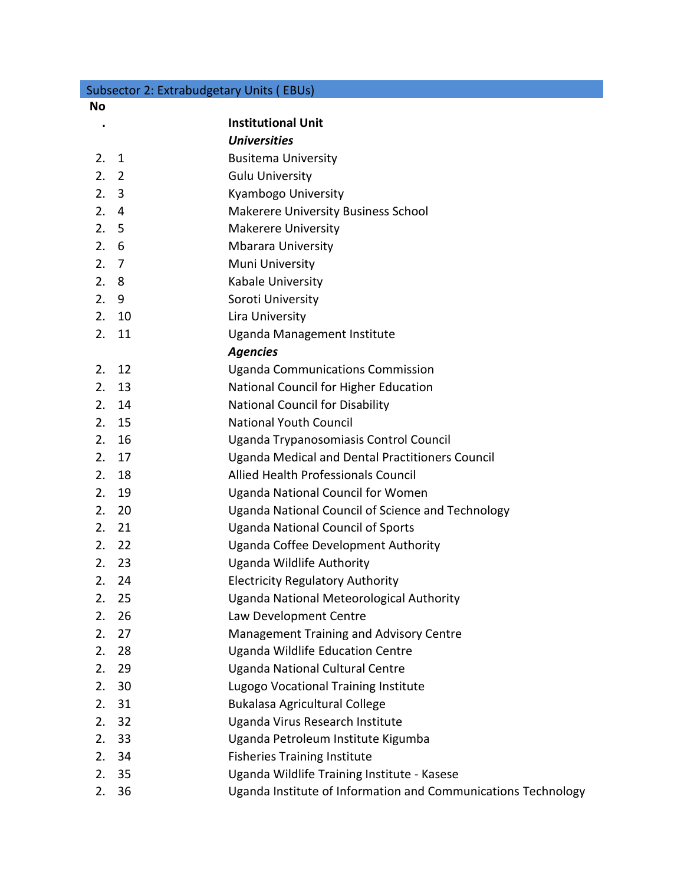|    | Subsector 2: Extrabudgetary Units (EBUs) |                                                               |
|----|------------------------------------------|---------------------------------------------------------------|
| No |                                          |                                                               |
|    |                                          | <b>Institutional Unit</b>                                     |
|    |                                          | <b>Universities</b>                                           |
| 2. | $\mathbf{1}$                             | <b>Busitema University</b>                                    |
| 2. | $\overline{2}$                           | <b>Gulu University</b>                                        |
| 2. | $\overline{3}$                           | Kyambogo University                                           |
| 2. | $\overline{4}$                           | Makerere University Business School                           |
| 2. | 5                                        | <b>Makerere University</b>                                    |
| 2. | 6                                        | <b>Mbarara University</b>                                     |
| 2. | $\overline{7}$                           | Muni University                                               |
| 2. | 8                                        | Kabale University                                             |
| 2. | 9                                        | Soroti University                                             |
| 2. | 10                                       | Lira University                                               |
| 2. | 11                                       | Uganda Management Institute                                   |
|    |                                          | <b>Agencies</b>                                               |
| 2. | 12                                       | <b>Uganda Communications Commission</b>                       |
| 2. | 13                                       | National Council for Higher Education                         |
| 2. | 14                                       | <b>National Council for Disability</b>                        |
| 2. | 15                                       | <b>National Youth Council</b>                                 |
| 2. | 16                                       | Uganda Trypanosomiasis Control Council                        |
| 2. | 17                                       | Uganda Medical and Dental Practitioners Council               |
| 2. | 18                                       | Allied Health Professionals Council                           |
| 2. | 19                                       | <b>Uganda National Council for Women</b>                      |
| 2. | 20                                       | Uganda National Council of Science and Technology             |
| 2. | 21                                       | <b>Uganda National Council of Sports</b>                      |
| 2. | 22                                       | Uganda Coffee Development Authority                           |
| 2. | 23                                       | Uganda Wildlife Authority                                     |
| 2. | 24                                       | <b>Electricity Regulatory Authority</b>                       |
| 2. | 25                                       | Uganda National Meteorological Authority                      |
| 2. | 26                                       | Law Development Centre                                        |
| 2. | 27                                       | Management Training and Advisory Centre                       |
| 2. | 28                                       | <b>Uganda Wildlife Education Centre</b>                       |
| 2. | 29                                       | <b>Uganda National Cultural Centre</b>                        |
| 2. | 30                                       | Lugogo Vocational Training Institute                          |
| 2. | 31                                       | <b>Bukalasa Agricultural College</b>                          |
| 2. | 32                                       | Uganda Virus Research Institute                               |
| 2. | 33                                       | Uganda Petroleum Institute Kigumba                            |
| 2. | 34                                       | <b>Fisheries Training Institute</b>                           |
| 2. | 35                                       | Uganda Wildlife Training Institute - Kasese                   |
| 2. | 36                                       | Uganda Institute of Information and Communications Technology |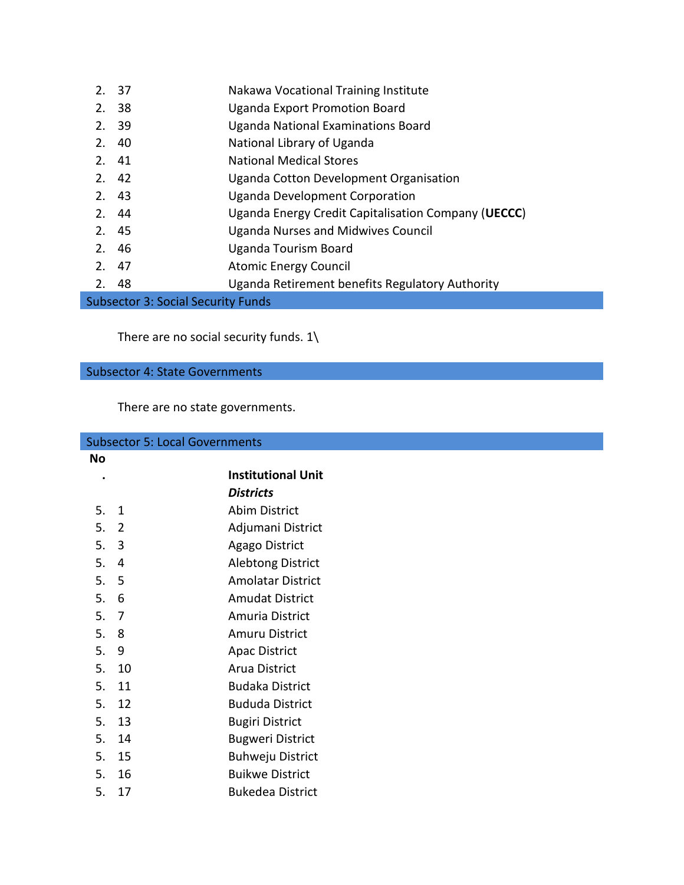| 2. | -37                                | Nakawa Vocational Training Institute                |
|----|------------------------------------|-----------------------------------------------------|
| 2. | -38                                | <b>Uganda Export Promotion Board</b>                |
| 2. | - 39                               | Uganda National Examinations Board                  |
| 2. | -40                                | National Library of Uganda                          |
|    | 2. 41                              | <b>National Medical Stores</b>                      |
|    | 2.42                               | Uganda Cotton Development Organisation              |
|    | 2.43                               | <b>Uganda Development Corporation</b>               |
|    | 2.44                               | Uganda Energy Credit Capitalisation Company (UECCC) |
|    | 2.45                               | <b>Uganda Nurses and Midwives Council</b>           |
|    | 2.46                               | Uganda Tourism Board                                |
|    | 2. 47                              | <b>Atomic Energy Council</b>                        |
| 2. | 48                                 | Uganda Retirement benefits Regulatory Authority     |
|    | Subsector 3: Social Security Funds |                                                     |

There are no social security funds.  $1\$ 

## Subsector 4: State Governments

There are no state governments.

| <b>Subsector 5: Local Governments</b> |                |                           |
|---------------------------------------|----------------|---------------------------|
| No                                    |                |                           |
| $\bullet$                             |                | <b>Institutional Unit</b> |
|                                       |                | <b>Districts</b>          |
| 5.                                    | 1              | Abim District             |
| 5.                                    | $\overline{2}$ | Adjumani District         |
| 5.3                                   |                | Agago District            |
| 5.                                    | 4              | <b>Alebtong District</b>  |
| 5.                                    | 5              | <b>Amolatar District</b>  |
| 5.                                    | 6              | <b>Amudat District</b>    |
| 5.                                    | $\overline{7}$ | Amuria District           |
| 5. 8                                  |                | Amuru District            |
| 5.                                    | 9              | <b>Apac District</b>      |
| 5.                                    | 10             | Arua District             |
| 5.                                    | 11             | <b>Budaka District</b>    |
| 5.                                    | 12             | <b>Bududa District</b>    |
| 5.                                    | 13             | <b>Bugiri District</b>    |
| 5.                                    | 14             | <b>Bugweri District</b>   |
| 5.                                    | 15             | <b>Buhweju District</b>   |
| 5.                                    | 16             | <b>Buikwe District</b>    |
| 5.                                    | 17             | <b>Bukedea District</b>   |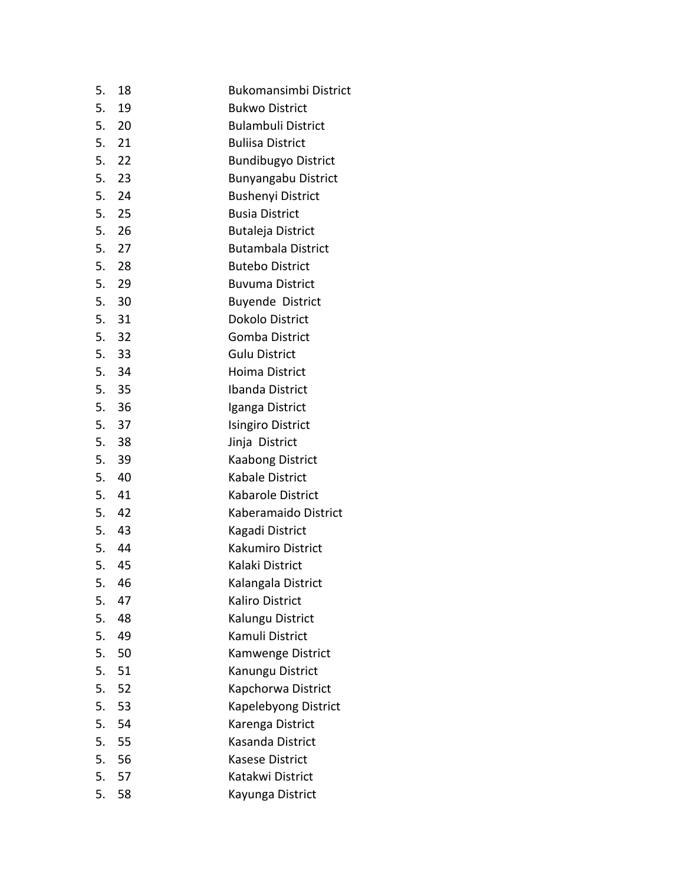| 5. | 18    | Bukomansimbi District      |
|----|-------|----------------------------|
| 5. | 19    | <b>Bukwo District</b>      |
|    | 5. 20 | <b>Bulambuli District</b>  |
|    | 5. 21 | <b>Buliisa District</b>    |
|    | 5. 22 | <b>Bundibugyo District</b> |
|    | 5. 23 | <b>Bunyangabu District</b> |
|    | 5. 24 | <b>Bushenyi District</b>   |
|    | 5. 25 | <b>Busia District</b>      |
|    | 5. 26 | <b>Butaleja District</b>   |
|    | 5. 27 | <b>Butambala District</b>  |
|    | 5. 28 | <b>Butebo District</b>     |
|    | 5. 29 | <b>Buvuma District</b>     |
|    | 5. 30 | <b>Buyende District</b>    |
|    | 5. 31 | <b>Dokolo District</b>     |
|    | 5. 32 | Gomba District             |
|    | 5. 33 | <b>Gulu District</b>       |
|    | 5. 34 | Hoima District             |
|    | 5. 35 | <b>Ibanda District</b>     |
|    | 5. 36 | Iganga District            |
|    | 5. 37 | <b>Isingiro District</b>   |
|    | 5. 38 | Jinja District             |
|    | 5. 39 | <b>Kaabong District</b>    |
|    | 5. 40 | <b>Kabale District</b>     |
|    | 5. 41 | Kabarole District          |
|    | 5. 42 | Kaberamaido District       |
|    | 5. 43 | Kagadi District            |
|    | 5. 44 | <b>Kakumiro District</b>   |
|    | 5. 45 | Kalaki District            |
|    | 5. 46 | Kalangala District         |
| 5. | 47    | Kaliro District            |
| 5. | 48    | Kalungu District           |
| 5. | 49    | Kamuli District            |
| 5. | 50    | Kamwenge District          |
| 5. | 51    | Kanungu District           |
| 5. | 52    | Kapchorwa District         |
| 5. | 53    | Kapelebyong District       |
| 5. | 54    | Karenga District           |
| 5. | 55    | Kasanda District           |
| 5. | 56    | <b>Kasese District</b>     |
| 5. | 57    | Katakwi District           |
| 5. | 58    | Kayunga District           |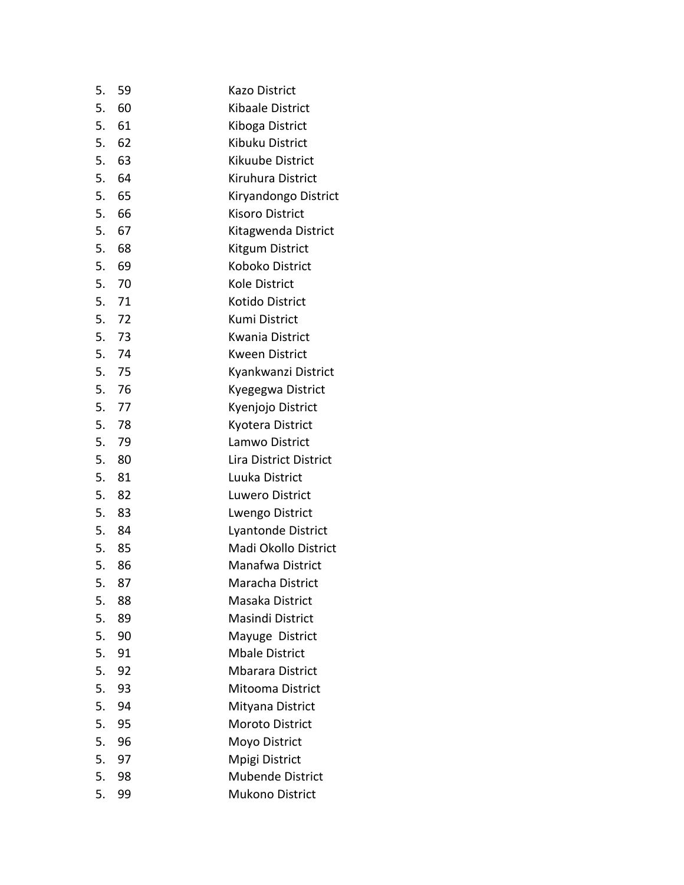| 5. | 59    | <b>Kazo District</b>    |
|----|-------|-------------------------|
| 5. | - 60  | Kibaale District        |
| 5. | 61    | Kiboga District         |
| 5. | 62    | Kibuku District         |
|    | 5. 63 | Kikuube District        |
|    | 5. 64 | Kiruhura District       |
| 5. | 65    | Kiryandongo District    |
|    | 5. 66 | <b>Kisoro District</b>  |
|    | 5. 67 | Kitagwenda District     |
| 5. | 68    | Kitgum District         |
|    | 5. 69 | Koboko District         |
|    | 5. 70 | Kole District           |
|    | 5. 71 | Kotido District         |
|    | 5. 72 | Kumi District           |
|    | 5. 73 | Kwania District         |
|    | 5. 74 | <b>Kween District</b>   |
|    | 5. 75 | Kyankwanzi District     |
|    | 5. 76 | Kyegegwa District       |
|    | 5. 77 | Kyenjojo District       |
|    | 5. 78 | Kyotera District        |
|    | 5. 79 | Lamwo District          |
| 5. | 80    | Lira District District  |
| 5. | 81    | Luuka District          |
|    | 5. 82 | Luwero District         |
|    | 5. 83 | Lwengo District         |
|    | 5. 84 | Lyantonde District      |
|    | 5. 85 | Madi Okollo District    |
|    | 5. 86 | Manafwa District        |
|    | 5. 87 | Maracha District        |
| 5. | 88    | Masaka District         |
| 5. | 89    | Masindi District        |
| 5. | 90    | Mayuge District         |
| 5. | 91    | <b>Mbale District</b>   |
| 5. | 92    | <b>Mbarara District</b> |
| 5. | 93    | Mitooma District        |
| 5. | 94    | Mityana District        |
| 5. | 95    | Moroto District         |
| 5. | 96    | Moyo District           |
| 5. | 97    | Mpigi District          |
| 5. | 98    | <b>Mubende District</b> |
| 5. | 99    | <b>Mukono District</b>  |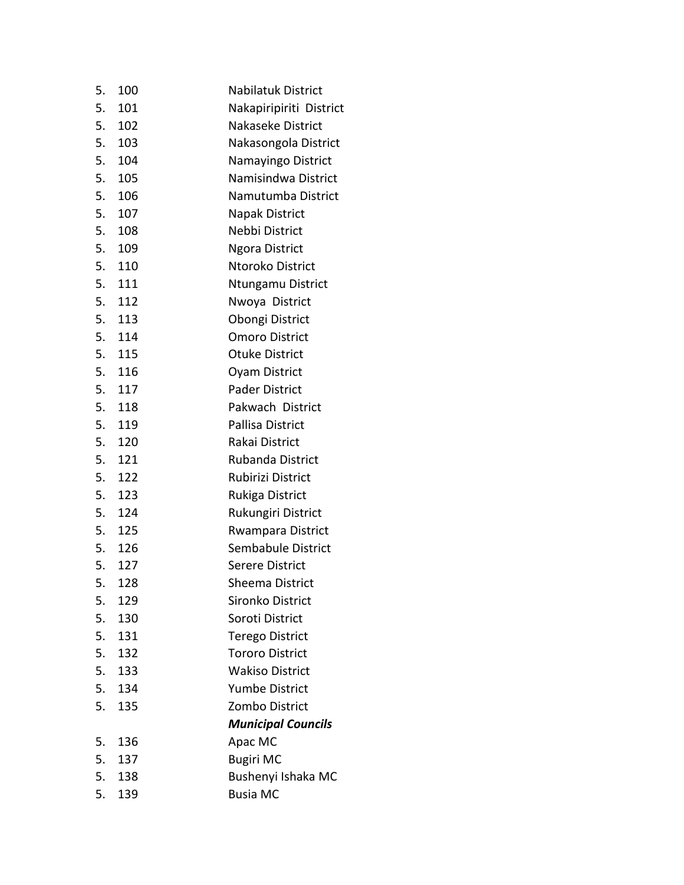| 5. | 100    | <b>Nabilatuk District</b> |
|----|--------|---------------------------|
| 5. | 101    | Nakapiripiriti District   |
| 5. | 102    | Nakaseke District         |
| 5. | 103    | Nakasongola District      |
|    | 5. 104 | Namayingo District        |
| 5. | 105    | Namisindwa District       |
| 5. | 106    | Namutumba District        |
|    | 5. 107 | Napak District            |
| 5. | 108    | Nebbi District            |
| 5. | 109    | <b>Ngora District</b>     |
| 5. | 110    | Ntoroko District          |
|    | 5. 111 | Ntungamu District         |
| 5. | 112    | Nwoya District            |
|    | 5. 113 | Obongi District           |
| 5. | 114    | <b>Omoro District</b>     |
|    | 5. 115 | <b>Otuke District</b>     |
|    | 5. 116 | Oyam District             |
| 5. | 117    | <b>Pader District</b>     |
| 5. | 118    | Pakwach District          |
|    | 5. 119 | Pallisa District          |
|    | 5. 120 | Rakai District            |
| 5. | 121    | <b>Rubanda District</b>   |
| 5. | 122    | Rubirizi District         |
|    | 5. 123 | Rukiga District           |
|    | 5. 124 | Rukungiri District        |
| 5. | 125    | Rwampara District         |
|    | 5. 126 | Sembabule District        |
|    | 5. 127 | <b>Serere District</b>    |
| 5. | 128    | Sheema District           |
| 5. | 129    | Sironko District          |
| 5. | 130    | Soroti District           |
| 5. | 131    | <b>Terego District</b>    |
| 5. | 132    | <b>Tororo District</b>    |
| 5. | 133    | <b>Wakiso District</b>    |
| 5. | 134    | <b>Yumbe District</b>     |
| 5. | 135    | Zombo District            |
|    |        | <b>Municipal Councils</b> |
| 5. | 136    | Apac MC                   |
| 5. | 137    | <b>Bugiri MC</b>          |
| 5. | 138    | Bushenyi Ishaka MC        |
| 5. | 139    | <b>Busia MC</b>           |
|    |        |                           |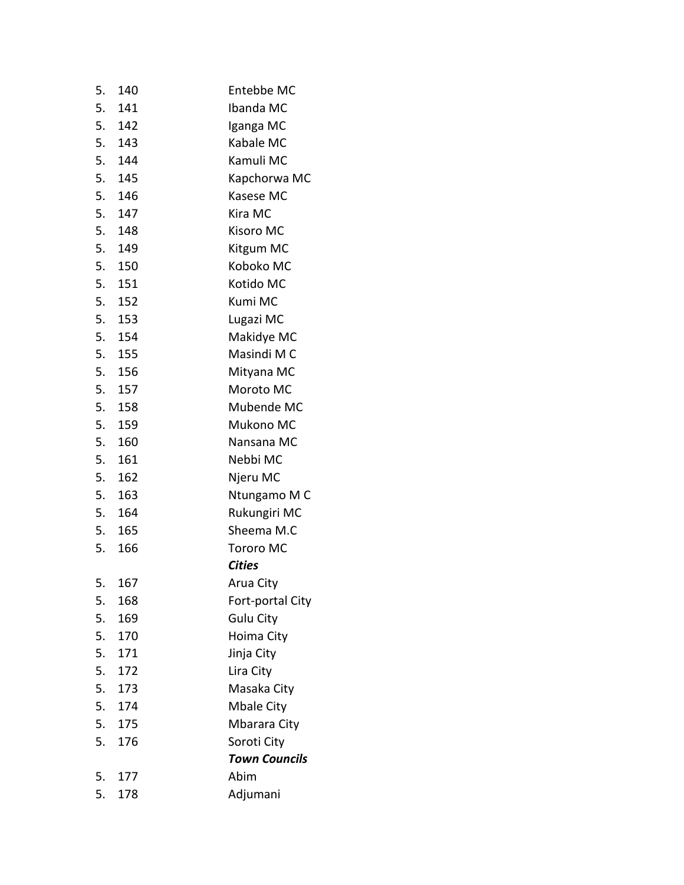| 140       | Entebbe MC           |
|-----------|----------------------|
| 141       | Ibanda MC            |
| 5.<br>142 | Iganga MC            |
| 5.<br>143 | Kabale MC            |
| 5.<br>144 | Kamuli MC            |
| 5.<br>145 | Kapchorwa MC         |
| 146       | Kasese MC            |
| 5.<br>147 | Kira MC              |
| 5.<br>148 | Kisoro MC            |
| 5.<br>149 | Kitgum MC            |
| 5.<br>150 | Koboko MC            |
| 5.<br>151 | Kotido MC            |
| 5.<br>152 | Kumi MC              |
| 5.<br>153 | Lugazi MC            |
| 5.<br>154 | Makidye MC           |
| 5.<br>155 | Masindi M C          |
| 5.<br>156 | Mityana MC           |
| 157       | Moroto MC            |
| 5.<br>158 | Mubende MC           |
| 159       | Mukono MC            |
| 160       | Nansana MC           |
| 161       | Nebbi MC             |
| 162       | Njeru MC             |
| 5.<br>163 | Ntungamo M C         |
| 5.<br>164 | Rukungiri MC         |
| 5.<br>165 | Sheema M.C           |
| 166       | <b>Tororo MC</b>     |
|           | <b>Cities</b>        |
| 167       | Arua City            |
| 168       | Fort-portal City     |
| 169       | <b>Gulu City</b>     |
| 170       | Hoima City           |
| 171       | Jinja City           |
| 172       | Lira City            |
| 173       | Masaka City          |
| 174       | Mbale City           |
| 175       | Mbarara City         |
| 176       | Soroti City          |
|           | <b>Town Councils</b> |
| 177       | Abim                 |
| 178       | Adjumani             |
|           |                      |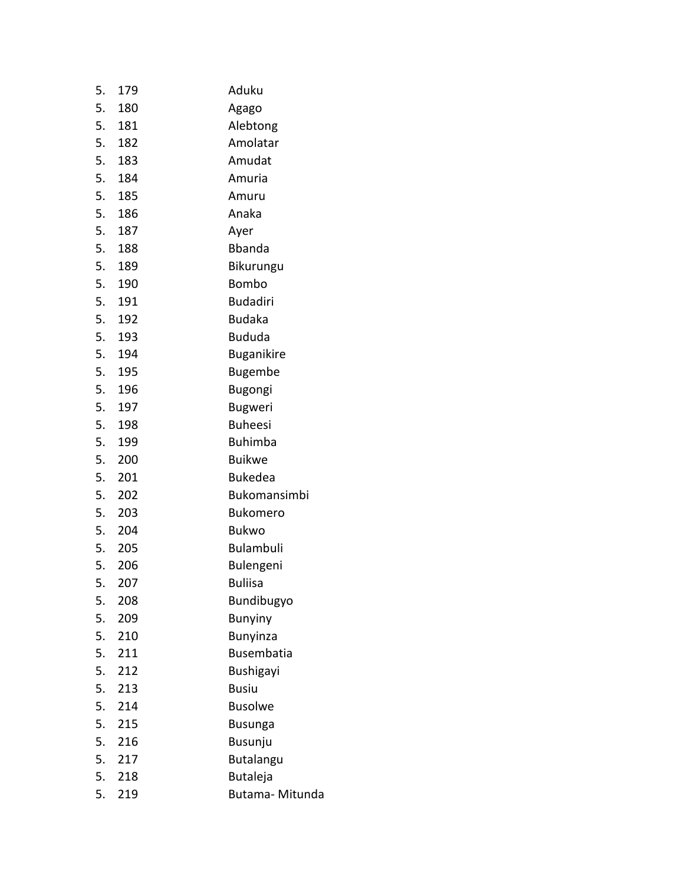| 5. | 179 | Aduku             |
|----|-----|-------------------|
| 5. | 180 | Agago             |
| 5. | 181 | Alebtong          |
| 5. | 182 | Amolatar          |
| 5. | 183 | Amudat            |
| 5. | 184 | Amuria            |
| 5. | 185 | Amuru             |
| 5. | 186 | Anaka             |
| 5. | 187 | Ayer              |
| 5. | 188 | <b>Bbanda</b>     |
| 5. | 189 | Bikurungu         |
| 5. | 190 | Bombo             |
| 5. | 191 | <b>Budadiri</b>   |
| 5. | 192 | <b>Budaka</b>     |
| 5. | 193 | <b>Bududa</b>     |
| 5. | 194 | <b>Buganikire</b> |
| 5. | 195 | <b>Bugembe</b>    |
| 5. | 196 | Bugongi           |
| 5. | 197 | <b>Bugweri</b>    |
| 5. | 198 | <b>Buheesi</b>    |
| 5. | 199 | <b>Buhimba</b>    |
| 5. | 200 | <b>Buikwe</b>     |
| 5. | 201 | <b>Bukedea</b>    |
| 5. | 202 | Bukomansimbi      |
| 5. | 203 | <b>Bukomero</b>   |
| 5. | 204 | <b>Bukwo</b>      |
| 5. | 205 | Bulambuli         |
| 5. | 206 | Bulengeni         |
| 5. | 207 | <b>Buliisa</b>    |
| 5. | 208 | Bundibugyo        |
| 5. | 209 | <b>Bunyiny</b>    |
| 5. | 210 | <b>Bunyinza</b>   |
| 5. | 211 | <b>Busembatia</b> |
| 5. | 212 | <b>Bushigayi</b>  |
| 5. | 213 | <b>Busiu</b>      |
| 5. | 214 | <b>Busolwe</b>    |
| 5. | 215 | <b>Busunga</b>    |
| 5. | 216 | Busunju           |
| 5. | 217 | <b>Butalangu</b>  |
| 5. | 218 | <b>Butaleja</b>   |
| 5. | 219 | Butama-Mitunda    |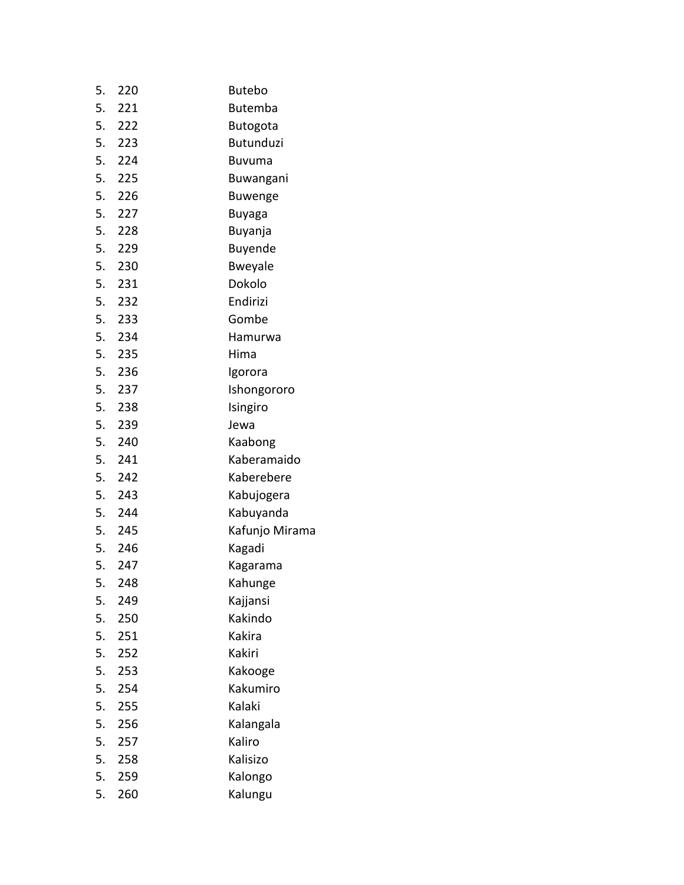| 5. | 220    | <b>Butebo</b>    |
|----|--------|------------------|
|    | 5. 221 | <b>Butemba</b>   |
|    | 5. 222 | <b>Butogota</b>  |
| 5. | 223    | <b>Butunduzi</b> |
| 5. | 224    | <b>Buvuma</b>    |
|    | 5. 225 | Buwangani        |
| 5. | 226    | <b>Buwenge</b>   |
| 5. | 227    | Buyaga           |
|    | 5. 228 | Buyanja          |
| 5. | 229    | Buyende          |
|    | 5. 230 | <b>Bweyale</b>   |
|    | 5. 231 | Dokolo           |
| 5. | 232    | Endirizi         |
|    | 5. 233 | Gombe            |
|    | 5. 234 | Hamurwa          |
|    | 5. 235 | Hima             |
|    | 5. 236 | Igorora          |
|    | 5. 237 | Ishongororo      |
|    | 5. 238 | Isingiro         |
| 5. | 239    | Jewa             |
|    | 5. 240 | Kaabong          |
|    | 5. 241 | Kaberamaido      |
| 5. | 242    | Kaberebere       |
|    | 5. 243 | Kabujogera       |
|    | 5. 244 | Kabuyanda        |
|    | 5. 245 | Kafunjo Mirama   |
|    | 5. 246 | Kagadi           |
|    | 5. 247 | Kagarama         |
| 5. | 248    | Kahunge          |
| 5. | 249    | Kajjansi         |
| 5. | 250    | Kakindo          |
| 5. | 251    | Kakira           |
| 5. | 252    | Kakiri           |
| 5. | 253    | Kakooge          |
| 5. | 254    | Kakumiro         |
| 5. | 255    | Kalaki           |
| 5. | 256    | Kalangala        |
| 5. | 257    | Kaliro           |
| 5. | 258    | Kalisizo         |
| 5. | 259    | Kalongo          |
| 5. | 260    | Kalungu          |
|    |        |                  |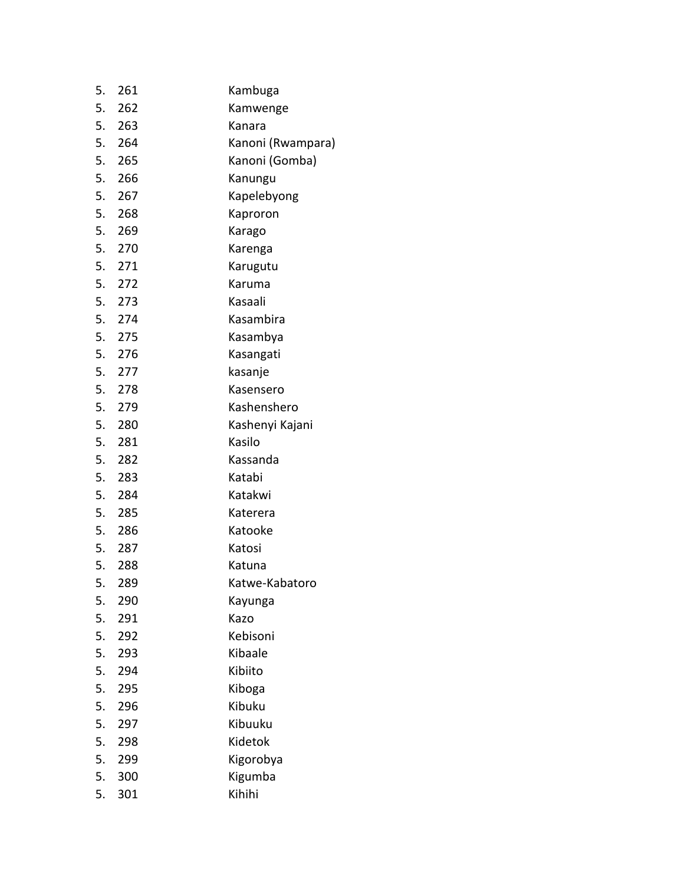| 5. | 261    | Kambuga           |
|----|--------|-------------------|
|    | 5. 262 | Kamwenge          |
|    | 5. 263 | Kanara            |
|    | 5. 264 | Kanoni (Rwampara) |
|    | 5. 265 | Kanoni (Gomba)    |
|    | 5. 266 | Kanungu           |
|    | 5. 267 | Kapelebyong       |
|    | 5. 268 | Kaproron          |
|    | 5. 269 | Karago            |
|    | 5. 270 | Karenga           |
|    | 5. 271 | Karugutu          |
|    | 5. 272 | Karuma            |
|    | 5. 273 | Kasaali           |
|    | 5. 274 | Kasambira         |
|    | 5. 275 | Kasambya          |
|    | 5. 276 | Kasangati         |
|    | 5. 277 | kasanje           |
|    | 5. 278 | Kasensero         |
|    | 5. 279 | Kashenshero       |
|    | 5. 280 | Kashenyi Kajani   |
|    | 5. 281 | Kasilo            |
|    | 5. 282 | Kassanda          |
|    | 5. 283 | Katabi            |
|    | 5. 284 | Katakwi           |
|    | 5. 285 | Katerera          |
|    | 5. 286 | Katooke           |
|    | 5. 287 | Katosi            |
|    | 5. 288 | Katuna            |
| 5. | 289    | Katwe-Kabatoro    |
| 5. | 290    | Kayunga           |
| 5. | 291    | Kazo              |
| 5. | 292    | Kebisoni          |
| 5. | 293    | Kibaale           |
| 5. | 294    | Kibiito           |
| 5. | 295    | Kiboga            |
| 5. | 296    | Kibuku            |
| 5. | 297    | Kibuuku           |
| 5. | 298    | Kidetok           |
| 5. | 299    | Kigorobya         |
| 5. | 300    | Kigumba           |
| 5. | 301    | Kihihi            |
|    |        |                   |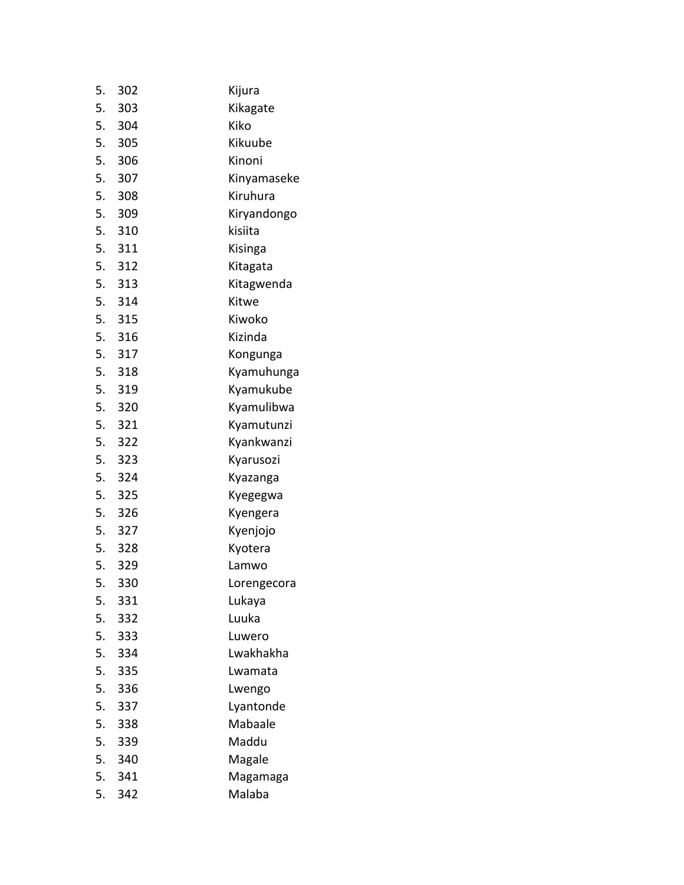| 5. | 302    | Kijura      |
|----|--------|-------------|
|    | 5. 303 | Kikagate    |
|    | 5. 304 | Kiko        |
| 5. | 305    | Kikuube     |
| 5. | 306    | Kinoni      |
|    | 5. 307 | Kinyamaseke |
| 5. | 308    | Kiruhura    |
|    | 5. 309 | Kiryandongo |
|    | 5. 310 | kisiita     |
|    | 5. 311 | Kisinga     |
|    | 5. 312 | Kitagata    |
|    | 5. 313 | Kitagwenda  |
|    | 5. 314 | Kitwe       |
|    | 5. 315 | Kiwoko      |
|    | 5. 316 | Kizinda     |
|    | 5. 317 | Kongunga    |
|    | 5. 318 | Kyamuhunga  |
|    | 5. 319 | Kyamukube   |
|    | 5. 320 | Kyamulibwa  |
|    | 5. 321 | Kyamutunzi  |
|    | 5. 322 | Kyankwanzi  |
|    | 5. 323 | Kyarusozi   |
| 5. | 324    | Kyazanga    |
|    | 5. 325 | Kyegegwa    |
|    | 5. 326 | Kyengera    |
|    | 5. 327 | Kyenjojo    |
|    | 5. 328 | Kyotera     |
|    | 5. 329 | Lamwo       |
| 5. | 330    | Lorengecora |
| 5. | 331    | Lukaya      |
| 5. | 332    | Luuka       |
| 5. | 333    | Luwero      |
| 5. | 334    | Lwakhakha   |
| 5. | 335    | Lwamata     |
| 5. | 336    | Lwengo      |
| 5. | 337    | Lyantonde   |
| 5. | 338    | Mabaale     |
| 5. | 339    | Maddu       |
| 5. | 340    | Magale      |
| 5. | 341    | Magamaga    |
| 5. | 342    | Malaba      |
|    |        |             |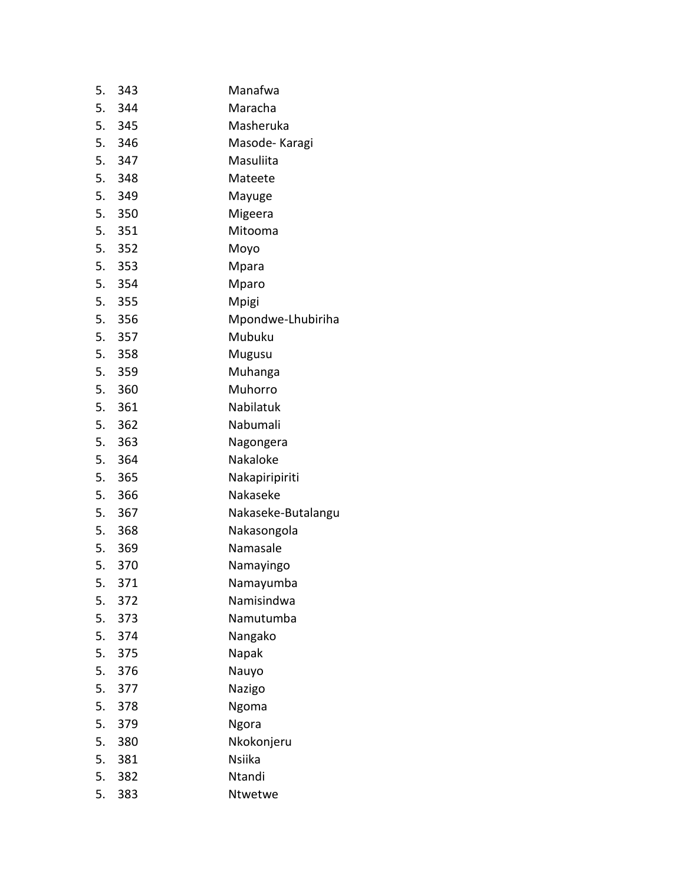| 5. | 343    | Manafwa            |
|----|--------|--------------------|
|    | 5. 344 | Maracha            |
|    | 5. 345 | Masheruka          |
|    | 5. 346 | Masode-Karagi      |
|    | 5. 347 | Masuliita          |
|    | 5. 348 | Mateete            |
|    | 5. 349 | Mayuge             |
|    | 5. 350 | Migeera            |
|    | 5. 351 | Mitooma            |
|    | 5. 352 | Moyo               |
|    | 5. 353 | Mpara              |
|    | 5. 354 | Mparo              |
|    | 5. 355 | Mpigi              |
|    | 5. 356 | Mpondwe-Lhubiriha  |
|    | 5. 357 | Mubuku             |
|    | 5. 358 | Mugusu             |
|    | 5. 359 | Muhanga            |
|    | 5. 360 | Muhorro            |
|    | 5. 361 | Nabilatuk          |
|    | 5. 362 | Nabumali           |
|    | 5. 363 | Nagongera          |
|    | 5. 364 | Nakaloke           |
|    | 5. 365 | Nakapiripiriti     |
|    | 5. 366 | Nakaseke           |
|    | 5. 367 | Nakaseke-Butalangu |
|    | 5. 368 | Nakasongola        |
|    | 5. 369 | Namasale           |
|    | 5. 370 | Namayingo          |
| 5. | 371    | Namayumba          |
| 5. | 372    | Namisindwa         |
| 5. | 373    | Namutumba          |
| 5. | 374    | Nangako            |
| 5. | 375    | Napak              |
| 5. | 376    | Nauyo              |
| 5. | 377    | Nazigo             |
| 5. | 378    | Ngoma              |
| 5. | 379    | Ngora              |
| 5. | 380    | Nkokonjeru         |
| 5. | 381    | <b>Nsiika</b>      |
| 5. | 382    | Ntandi             |
| 5. | 383    | Ntwetwe            |
|    |        |                    |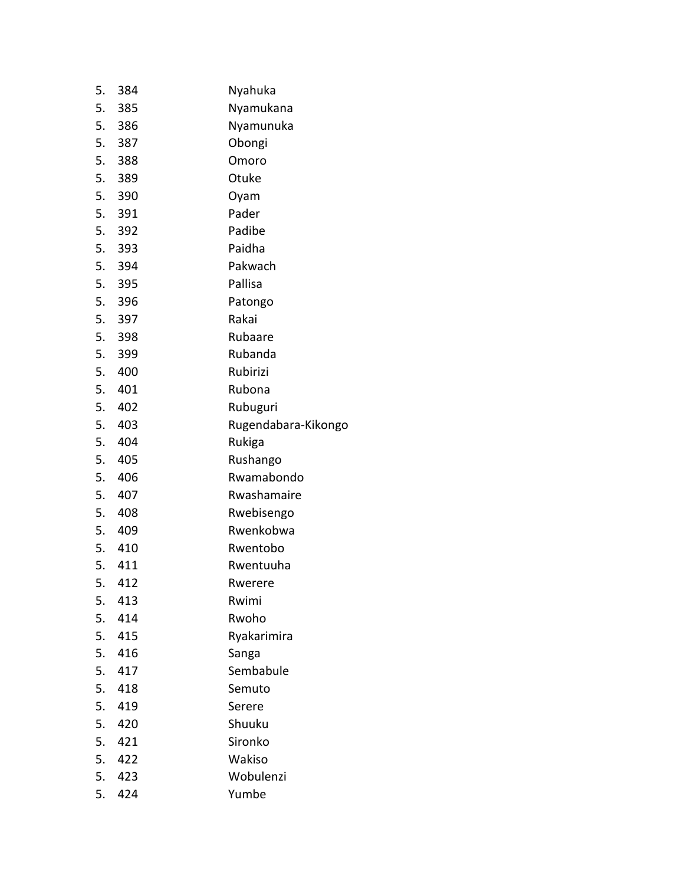| 5. | 384    | Nyahuka             |
|----|--------|---------------------|
| 5. | - 385  | Nyamukana           |
|    | 5. 386 | Nyamunuka           |
| 5. | 387    | Obongi              |
|    | 5. 388 | Omoro               |
| 5. | 389    | Otuke               |
|    | 5. 390 | Oyam                |
|    | 5. 391 | Pader               |
|    | 5. 392 | Padibe              |
|    | 5. 393 | Paidha              |
|    | 5. 394 | Pakwach             |
|    | 5. 395 | Pallisa             |
|    | 5. 396 | Patongo             |
|    | 5. 397 | Rakai               |
|    | 5. 398 | Rubaare             |
| 5. | 399    | Rubanda             |
| 5. | 400    | Rubirizi            |
|    | 5. 401 | Rubona              |
| 5. | 402    | Rubuguri            |
|    | 5. 403 | Rugendabara-Kikongo |
| 5. | 404    | Rukiga              |
| 5. | 405    | Rushango            |
|    | 5. 406 | Rwamabondo          |
| 5. | 407    | Rwashamaire         |
| 5. | 408    | Rwebisengo          |
|    | 5. 409 | Rwenkobwa           |
|    | 5. 410 | Rwentobo            |
|    | 5. 411 | Rwentuuha           |
| 5. | 412    | Rwerere             |
| 5. | 413    | Rwimi               |
| 5. | 414    | Rwoho               |
| 5. | 415    | Ryakarimira         |
|    | 5. 416 | Sanga               |
| 5. | 417    | Sembabule           |
| 5. | 418    | Semuto              |
| 5. | 419    | Serere              |
| 5. | 420    | Shuuku              |
| 5. | 421    | Sironko             |
|    | 5. 422 | Wakiso              |
| 5. | 423    | Wobulenzi           |
| 5. | 424    | Yumbe               |
|    |        |                     |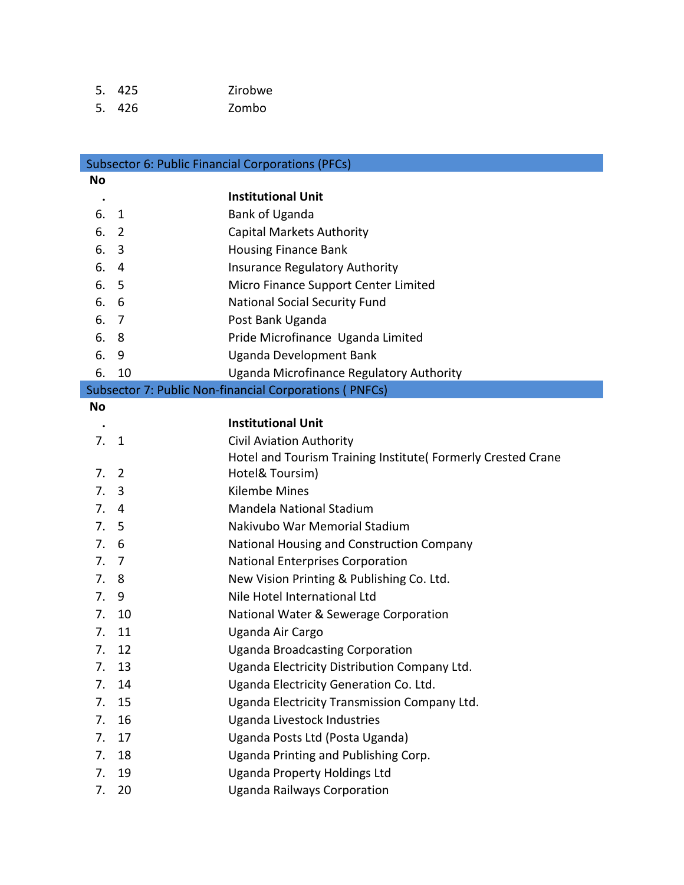| 5. 425 | Zirobwe |
|--------|---------|
| 5. 426 | Zombo   |

|             |                | <b>Subsector 6: Public Financial Corporations (PFCs)</b>                             |
|-------------|----------------|--------------------------------------------------------------------------------------|
| No          |                |                                                                                      |
| $\bullet$   |                | <b>Institutional Unit</b>                                                            |
| 6.          | 1              | Bank of Uganda                                                                       |
| 6.          | $\overline{2}$ | <b>Capital Markets Authority</b>                                                     |
| 6.          | 3              | <b>Housing Finance Bank</b>                                                          |
| 6.          | 4              | <b>Insurance Regulatory Authority</b>                                                |
| 6.          | 5              | Micro Finance Support Center Limited                                                 |
| 6.          | 6              | <b>National Social Security Fund</b>                                                 |
| 6.          | 7              | Post Bank Uganda                                                                     |
| 6.          | 8              | Pride Microfinance Uganda Limited                                                    |
| 6.          | 9              | Uganda Development Bank                                                              |
| 6.          | 10             | Uganda Microfinance Regulatory Authority                                             |
|             |                | Subsector 7: Public Non-financial Corporations (PNFCs)                               |
| No          |                |                                                                                      |
|             |                | <b>Institutional Unit</b>                                                            |
| 7.          | 1              | <b>Civil Aviation Authority</b>                                                      |
|             | $\overline{2}$ | Hotel and Tourism Training Institute(Formerly Crested Crane                          |
| 7.          |                | Hotel& Toursim)<br><b>Kilembe Mines</b>                                              |
| 7.<br>7.    | 3<br>4         | Mandela National Stadium                                                             |
| $7_{\cdot}$ | 5              | Nakivubo War Memorial Stadium                                                        |
| 7.          | 6              |                                                                                      |
| 7.          | -7             | National Housing and Construction Company                                            |
| 7.          | 8              | <b>National Enterprises Corporation</b><br>New Vision Printing & Publishing Co. Ltd. |
| 7.          | 9              | Nile Hotel International Ltd                                                         |
| 7.          | 10             | National Water & Sewerage Corporation                                                |
| 7.          | 11             | Uganda Air Cargo                                                                     |
| 7.          | 12             | <b>Uganda Broadcasting Corporation</b>                                               |
| 7.          | 13             | Uganda Electricity Distribution Company Ltd.                                         |
| 7.          | 14             | Uganda Electricity Generation Co. Ltd.                                               |
| 7.          | 15             | Uganda Electricity Transmission Company Ltd.                                         |
| 7.          | 16             | Uganda Livestock Industries                                                          |
| 7.          | 17             | Uganda Posts Ltd (Posta Uganda)                                                      |
| 7.          | 18             | Uganda Printing and Publishing Corp.                                                 |
| 7.          | 19             | <b>Uganda Property Holdings Ltd</b>                                                  |
| 7.          | 20             | <b>Uganda Railways Corporation</b>                                                   |
|             |                |                                                                                      |